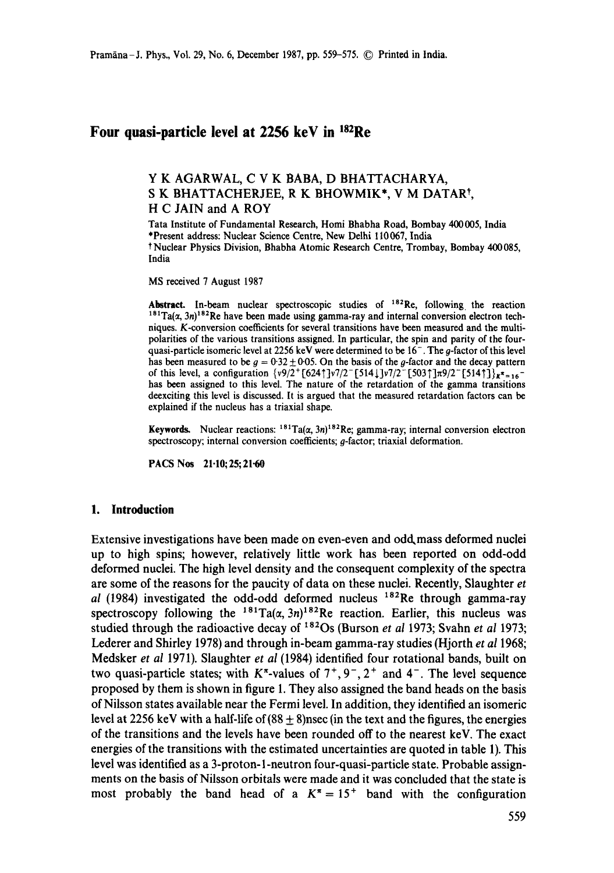# Four quasi-particle level at 2256 keV in <sup>182</sup>Re

## Y K AGARWAL, C V K BABA, D BHATTACHARYA, S K BHATTACHERJEE, R K BHOWMIK\*, V M DATARt, H C JAIN and A ROY

Tata Institute of Fundamental Research, Homi Bhabha Road, Bombay 400005, India \*Present address: Nuclear Science Centre, New Delhi 110067, India t Nuclear Physics Division, Bhabha Atomic Research Centre, Trombay, Bombay 400 085, India

MS received 7 August 1987

**Abstract.** In-beam nuclear spectroscopic studies of 182Re, following, the reaction  $181$ Ta( $\alpha$ , 3n)<sup>182</sup>Re have been made using gamma-ray and internal conversion electron techniques. K-conversion coefficients for several transitions have been measured and the multipolarities of the various transitions assigned. In particular, the spin and parity of the fourquasi-particle isomeric level at 2256 keV were determined to be 16<sup>-</sup>. The g-factor of this level has been measured to be  $g = 0.32 \pm 0.05$ . On the basis of the g-factor and the decay pattern of this level, a configuration  $\{v9/2^+ [624^+]\}v7/2^- [514^+]\}v7/2^- [503^+]\pi9/2^- [514^+]\}x^* = 16^$ has been assigned to this level. The nature of the retardation of the gamma transitions deexciting this level is discussed. It is argued that the measured retardation factors can be explained if the nucleus has a triaxial shape.

**Keywords.** Nuclear reactions:  $181Ta(\alpha, 3n)^{182}$ Re; gamma-ray; internal conversion electron spectroscopy; internal conversion coefficients; g-factor; triaxial deformation.

PACS Nos 21.10;25;21.60

### **1. Introduction**

Extensive investigations have been made on even-even and odd, mass deformed nuclei up to high spins; however, relatively little work has been reported on odd-odd deformed nuclei. The high level density and the consequent complexity of the spectra are some of the reasons for the paucity of data on these nuclei. Recently, Slaughter *et al* (1984) investigated the odd-odd deformed nucleus 182Re through gamma-ray spectroscopy following the  $181 \text{Ta}(\alpha, 3n)^{182}$ Re reaction. Earlier, this nucleus was studied through the radioactive decay of <sup>182</sup>Os (Burson *et al 1973*; Svahn *et al 1973*; Lederer and Shirley 1978) and through in-beam gamma-ray studies (Hjorth *et al* 1968; Medsker *et al* 1971). Slaughter *et al* (1984) identified four rotational bands, built on two quasi-particle states; with  $K^{\pi}$ -values of  $7^{+}$ ,  $9^{-}$ ,  $2^{+}$  and  $4^{-}$ . The level sequence proposed by them is shown in figure 1. They also assigned the band heads on the basis of Nilsson states available near the Fermi level. In addition, they identified an isomeric level at 2256 keV with a half-life of  $(88 \pm 8)$  nsec (in the text and the figures, the energies of the transitions and the levels have been rounded off to the nearest keV. The exact energies of the transitions with the estimated uncertainties are quoted in table 1). This level was identified as a 3-proton-l-neutron four-quasi-particle state. Probable assignments on the basis of Nilsson orbitals were made and it was concluded that the state is most probably the band head of a  $K^* = 15^+$  band with the configuration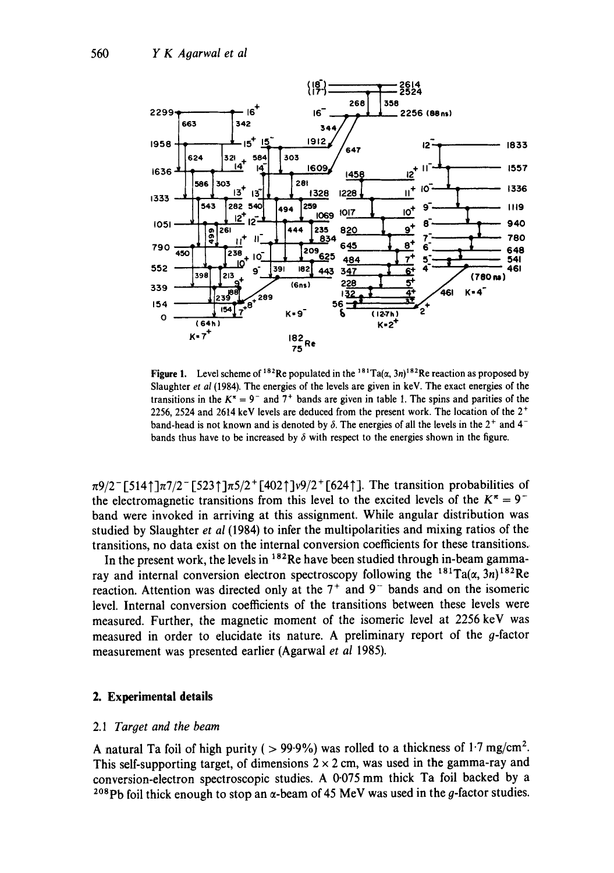

**Figure 1.** Level scheme of <sup>182</sup>Re populated in the <sup>181</sup>Ta( $\alpha$ , 3n)<sup>182</sup>Re reaction as proposed by Slaughter *et al* (1984). The energies of the levels are given in keV. The exact energies of the transitions in the  $K^* = 9^-$  and  $7^+$  bands are given in table 1. The spins and parities of the 2256, 2524 and 2614 keV levels are deduced from the present work. The location of the  $2^+$ band-head is not known and is denoted by  $\delta$ . The energies of all the levels in the 2<sup>+</sup> and 4<sup>-</sup> bands thus have to be increased by  $\delta$  with respect to the energies shown in the figure.

 $\pi$ 9/2<sup>-</sup> [5141] $\pi$ 7/2<sup>-</sup> [5231] $\pi$ 5/2<sup>+</sup> [4021] $\nu$ 9/2<sup>+</sup> [6241]. The transition probabilities of the electromagnetic transitions from this level to the excited levels of the  $K^{\pi} = 9^{-}$ band were invoked in arriving at this assignment. While angular distribution was studied by Slaughter *et al* (1984) to infer the multipolarities and mixing ratios of the transitions, no data exist on the internal conversion coefficients for these transitions..

In the present work, the levels in <sup>182</sup>Re have been studied through in-beam gammaray and internal conversion electron spectroscopy following the <sup>181</sup>Ta( $\alpha$ , 3n)<sup>182</sup>Re reaction. Attention was directed only at the  $7<sup>+</sup>$  and  $9<sup>-</sup>$  bands and on the isomeric level. Internal conversion coefficients of the transitions between these levels were measured. Further, the magnetic moment of the isomeric level at 2256 keV was measured in order to elucidate its nature. A preliminary report of the g-factor measurement was presented earlier (Agarwal *et al* 1985).

## **2. Experimental details**

### *2.1 Target and the beam*

A natural Ta foil of high purity ( $> 99.9\%$ ) was rolled to a thickness of 1.7 mg/cm<sup>2</sup>. This self-supporting target, of dimensions  $2 \times 2$  cm, was used in the gamma-ray and conversion-electron spectroscopic studies. A 0.075 mm thick Ta foil backed by a <sup>208</sup>Pb foil thick enough to stop an  $\alpha$ -beam of 45 MeV was used in the g-factor studies.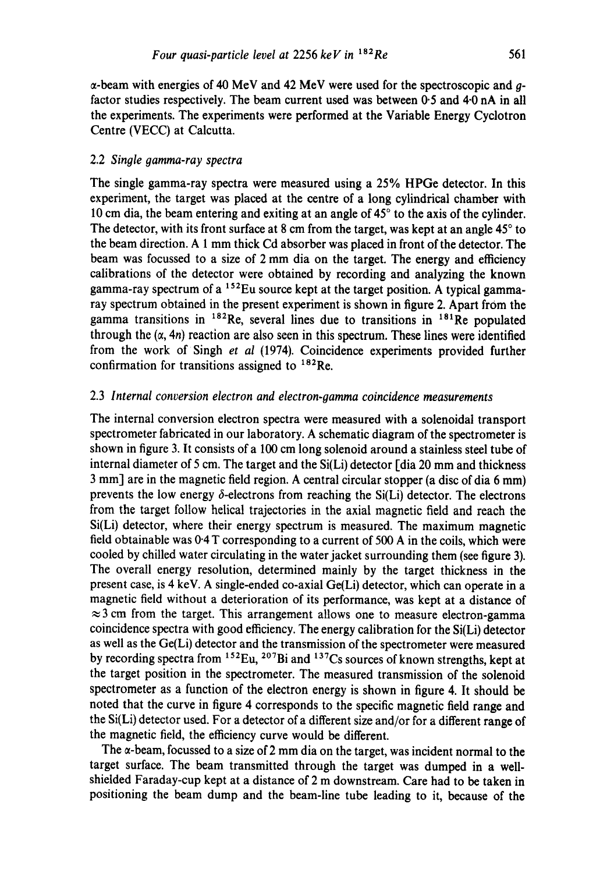$\alpha$ -beam with energies of 40 MeV and 42 MeV were used for the spectroscopic and  $q$ factor studies respectively. The beam current used was between 0'5 and 4-0 nA in all the experiments. The experiments were performed at the Variable Energy Cyclotron Centre (VECC) at Calcutta.

#### 2.2 *Single gamma-ray spectra*

The single gamma-ray spectra were measured using a 25% HPGe detector. In this experiment, the target was placed at the centre of a long cylindrical chamber with 10 cm dia, the beam entering and exiting at an angle of  $45^{\circ}$  to the axis of the cylinder. The detector, with its front surface at 8 cm from the target, was kept at an angle  $45^{\circ}$  to the beam direction. A 1 mm thick Cd absorber was placed in front of the detector. The beam was focussed to a size of 2 mm dia on the target. The energy and efficiency calibrations of the detector were obtained by recording and analyzing the known gamma-ray spectrum of a  $152$ Eu source kept at the target position. A typical gammaray spectrum obtained in the present experiment is shown in figure 2. Apart from the gamma transitions in  $182$ Re, several lines due to transitions in  $181$ Re populated through the  $(\alpha, 4n)$  reaction are also seen in this spectrum. These lines were identified from the work of Singh *et al* (1974). Coincidence experiments provided further confirmation for transitions assigned to  $^{182}$ Re.

### 2.3 *Internal conversion electron and electron-oamma coincidence measurements*

The internal conversion electron spectra were measured with a solenoidal transport spectrometer fabricated in our laboratory. A schematic diagram of the spectrometer is shown in figure 3. It consists of a 100 cm long solenoid around a stainless steel tube of internal diameter of 5 cm. The target and the Si(Li) detector [dia 20 mm and thickness 3 mm] are in the magnetic field region. A central circular stopper (a disc of dia 6 mm) prevents the low energy  $\delta$ -electrons from reaching the Si(Li) detector. The electrons from the target follow helical trajectories in the axial magnetic field and reach the Si(Li) detector, where their energy spectrum is measured. The maximum magnetic field obtainable was 0.4 T corresponding to a current of 500 A in the coils, which were cooled by chilled water circulating in the water jacket surrounding them (see figure 3). The overall energy resolution, determined mainly by the target thickness in the present case, is 4 keV. A single-ended co-axial Ge(Li) detector, which can operate in a magnetic field without a deterioration of its performance, was kept at a distance of  $\approx$ 3 cm from the target. This arrangement allows one to measure electron-gamma coincidence spectra with good efficiency. The energy calibration for the Si(Li) detector as well as the Ge(Li) detector and the transmission of the spectrometer were measured by recording spectra from  $152$ Eu,  $207$ Bi and  $137$ Cs sources of known strengths, kept at the target position in the spectrometer. The measured transmission of the solenoid spectrometer as a function of the electron energy is shown in figure 4. It should be noted that the curve in figure 4 corresponds to the specific magnetic field range and the Si(Li) detector used. For a detector of a different size and/or for a different range of the magnetic field, the efficiency curve would be different.

The  $\alpha$ -beam, focussed to a size of 2 mm dia on the target, was incident normal to the target surface. The beam transmitted through the target was dumped in a wellshielded Faraday-cup kept at a distance of 2 m downstream. Care had to be taken in positioning the beam dump and the beam-line tube leading to it, because of the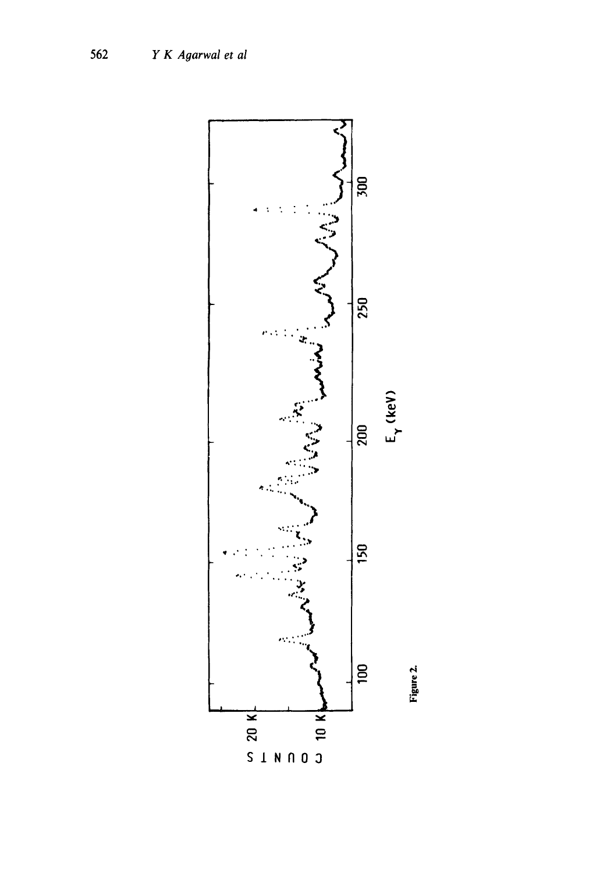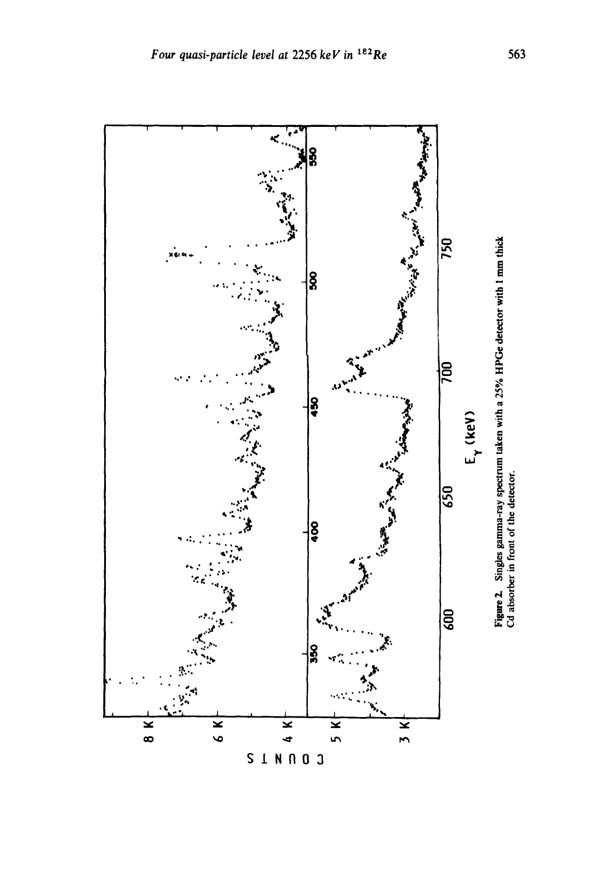

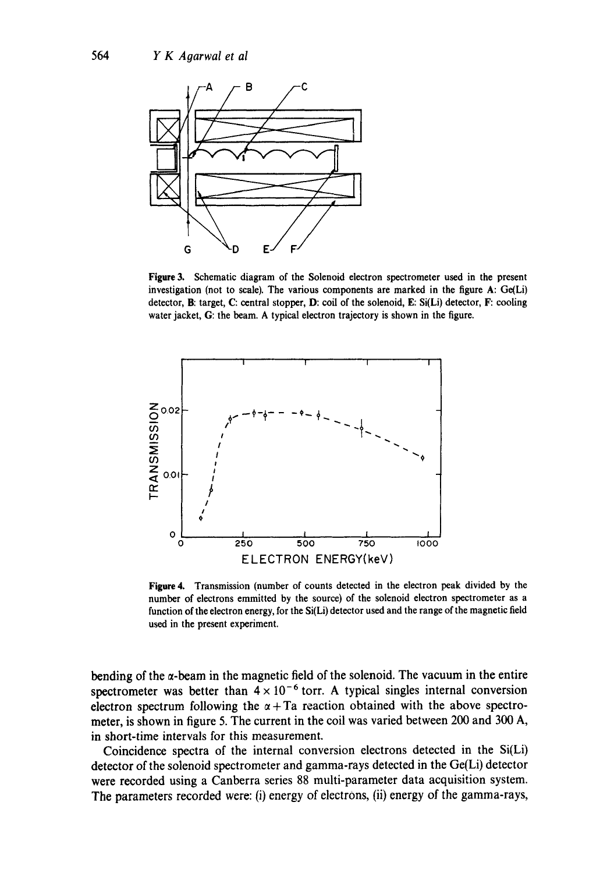

**Figure 3. Schematic diagram of the Solenoid electron spectrometer used in the present investigation** (not to **scale). The various components are marked in the figure A:** Ge(Li) **detector, B: target, C: central** stopper, D: coil of **the solenoid, E: Si(Li) detector,** F: cooling **water jacket, G: the beam. A typical electron trajectory is shown in the** figure.



**Figure 4. Transmission (number of counts detected in the electron peak divided by the number of electrons emmitted by the source) of the solenoid electron spectrometer as** a **function of the electron energy, for the Si(Li) detector used and the range of the magnetic field used in the present experiment.** 

bending of the  $\alpha$ -beam in the magnetic field of the solenoid. The vacuum in the entire spectrometer was better than  $4 \times 10^{-6}$  torr. A typical singles internal conversion electron spectrum following the  $\alpha + T_a$  reaction obtained with the above spectro**meter, is shown in figure 5. The current in the coil was varied between 200 and 300 A, in short-time intervals for this measurement.** 

**Coincidence spectra of the internal conversion electrons detected in the Si(Li) detector of the solenoid spectrometer and gamma-rays detected in the Ge(Li) detector were recorded using a Canberra series 88 multi-parameter data acquisition system. The parameters recorded were: (i) energy of electrons, (ii) energy of the gamma-rays,**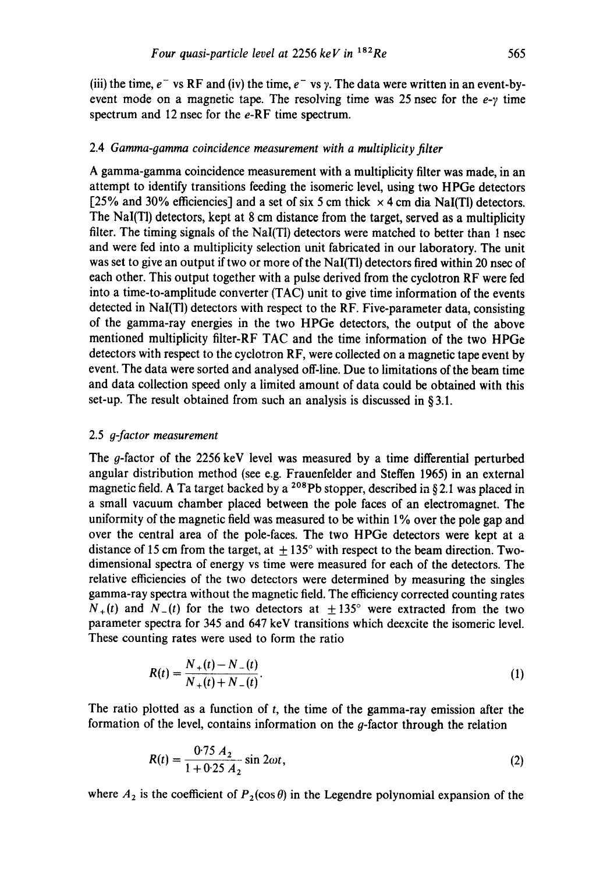(iii) the time,  $e^-$  vs RF and (iv) the time,  $e^-$  vs y. The data were written in an event-byevent mode on a magnetic tape. The resolving time was 25 nsec for the  $e-y$  time spectrum and 12 nsec for the e-RF time spectrum.

## 2.4 *Gamma-gamma coincidence measurement with a multiplicity filter*

A gamma-gamma coincidence measurement with a multiplicity filter was made, in an attempt to identify transitions feeding the isomeric level, using two HPGe detectors [25% and 30% efficiencies] and a set of six 5 cm thick  $\times$  4 cm dia NaI(Tl) detectors. The NaI(TI) detectors, kept at 8 cm distance from the target, served as a multiplicity filter. The timing signals of the NaI $(T)$  detectors were matched to better than 1 nsec and were fed into a multiplicity selection unit fabricated in our laboratory. The unit was set to give an output if two or more of the NaI(TI) detectors fired within 20 nsec of each other. This output together with a pulse derived from the cyclotron RF were fed into a time-to-amplitude converter (TAC) unit to give time information of the events detected in NaI(Tl) detectors with respect to the RF. Five-parameter data, consisting of the gamma-ray energies in the two HPGe detectors, the output of the above mentioned multiplicity filter-RF TAC and the time information of the two HPGe detectors with respect to the cyclotron RF, were collected on a magnetic tape event by event. The data were sorted and analysed off-line. Due to limitations of the beam time and data collection speed only a limited amount of data could be obtained with this set-up. The result obtained from such an analysis is discussed in § 3.1.

### 2.5 *g-factor measurement*

The g-factor of the 2256 keV level was measured by a time differential perturbed angular distribution method (see e.g. Frauenfelder and Steffen 1965) in an external magnetic field. A Ta target backed by a <sup>208</sup>Pb stopper, described in §2.1 was placed in a small vacuum chamber placed between the pole faces of an electromagnet. The uniformity of the magnetic field was measured to be within 1% over the pole gap and over the central area of the pole-faces. The two HPGe detectors were kept at a distance of 15 cm from the target, at  $+135^\circ$  with respect to the beam direction. Twodimensional spectra of energy vs time were measured for each of the detectors. The relative efficiencies of the two detectors were determined by measuring the singles gamma-ray spectra without the magnetic field. The efficiency corrected counting rates  $N_{+}(t)$  and  $N_{-}(t)$  for the two detectors at  $\pm 135^{\circ}$  were extracted from the two parameter spectra for 345 and 647 keV transitions which deexcite the isomeric level. These counting rates were used to form the ratio

$$
R(t) = \frac{N_{+}(t) - N_{-}(t)}{N_{+}(t) + N_{-}(t)}.
$$
\n(1)

The ratio plotted as a function of t, the time of the gamma-ray emission after the formation of the level, contains information on the  $g$ -factor through the relation

$$
R(t) = \frac{0.75 A_2}{1 + 0.25 A_2} \sin 2\omega t, \tag{2}
$$

where  $A_2$  is the coefficient of  $P_2(\cos \theta)$  in the Legendre polynomial expansion of the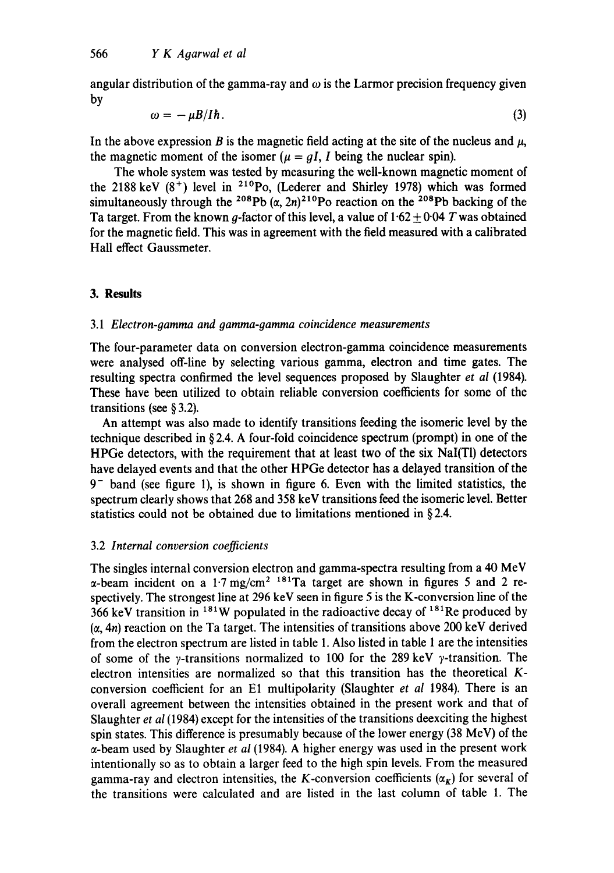angular distribution of the gamma-ray and  $\omega$  is the Larmor precision frequency given by

$$
\omega = -\mu B / I \hbar. \tag{3}
$$

In the above expression B is the magnetic field acting at the site of the nucleus and  $\mu$ , the magnetic moment of the isomer ( $\mu = qI$ , I being the nuclear spin).

The whole system was tested by measuring the well-known magnetic moment of the 2188 keV  $(8^+)$  level in <sup>210</sup>Po, (Lederer and Shirley 1978) which was formed simultaneously through the <sup>208</sup>Pb  $(\alpha, 2n)^{210}$ Po reaction on the <sup>208</sup>Pb backing of the Ta target. From the known g-factor of this level, a value of  $1.62 \pm 0.04$  T was obtained for the magnetic field. This was in agreement with the field measured with a calibrated Hall effect Gaussmeter.

## **3. Results**

### *3.1 Electron-gamma and gamma-gamma coincidence measurements*

The four-parameter data on conversion electron-gamma coincidence measurements were analysed off-line by selecting various gamma, electron and time gates. The resulting spectra confirmed the level sequences proposed by Slaughter *et al* (1984). These have been utilized to obtain reliable conversion coefficients for some of the transitions (see § 3.2).

An attempt was also made to identify transitions feeding the isomeric level by the technique described in § 2.4. A four-fold coincidence spectrum (prompt) in one of the HPGc detectors, with the requirement that at least two of the six NaI(Tl) detectors have delayed events and that the other HPGe detector has a delayed transition of the  $9^-$  band (see figure 1), is shown in figure 6. Even with the limited statistics, the spectrum clearly shows that 268 and 358 keV transitions feed the isomeric level. Better statistics could not be obtained due to limitations mentioned in § 2.4.

## 3.2 *Internal conversion coefficients*

The singles internal conversion electron and gamma-spectra resulting from a 40 MeV  $\alpha$ -beam incident on a 1.7 mg/cm<sup>2 181</sup>Ta target are shown in figures 5 and 2 respectively. The strongest line at 296 keV seen in figure 5 is the K-conversion line of the 366 keV transition in  $181W$  populated in the radioactive decay of  $181Re$  produced by  $(\alpha, 4n)$  reaction on the Ta target. The intensities of transitions above 200 keV derived from the electron spectrum are listed in table 1. Also listed in table 1 arc the intensities of some of the  $\gamma$ -transitions normalized to 100 for the 289 keV  $\gamma$ -transition. The electron intensities arc normalized so that this transition has the theoretical Kconversion coefficient for an E1 multipolarity (Slaughter *et al* 1984). There is an overall agreement between the intensities obtained in the present work and that of Slaughter *et al* (1984) except for the intensities of the transitions deexciting the highest spin states. This difference is presumably because of the lower energy (38 MeV) of the  $\alpha$ -beam used by Slaughter *et al* (1984). A higher energy was used in the present work intentionally so as to obtain a larger feed to the high spin levels. From the measured gamma-ray and electron intensities, the K-conversion coefficients  $(\alpha_k)$  for several of the transitions were calculated and arc listed in the last column of table 1. The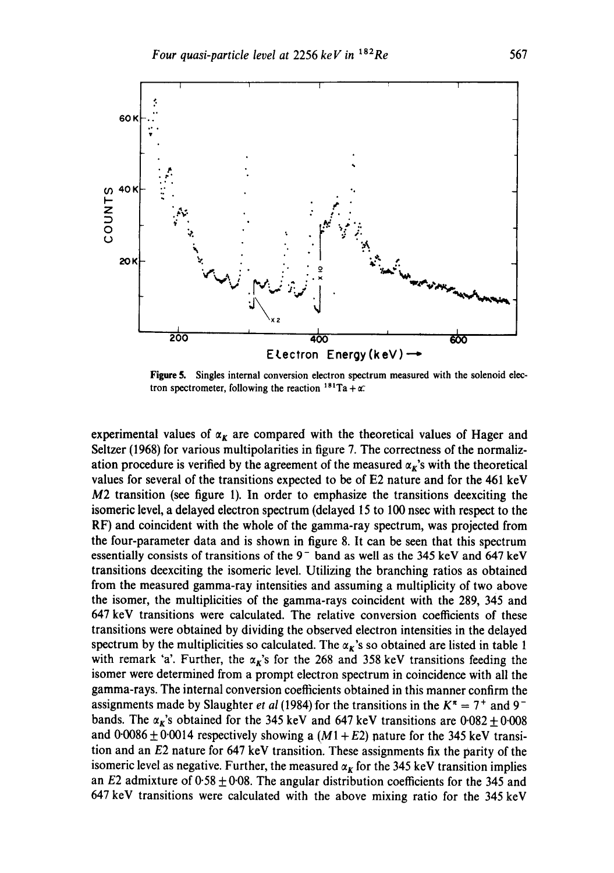

**Figure** 5. Singles internal conversion electron spectrum measured with the solenoid electron spectrometer, following the reaction  $181$ Ta +  $\alpha$ .

experimental values of  $\alpha_k$  are compared with the theoretical values of Hager and Seltzer (1968) for various multipolarities in figure 7. The correctness of the normalization procedure is verified by the agreement of the measured  $\alpha_k$ 's with the theoretical values for several of the transitions expected to be of E2 nature and for the 461 keV M2 transition (see figure 1). In order to emphasize the transitions deexciting the isomeric level, a delayed electron spectrum (delayed 15 to 100 nsec with respect to the RF) and coincident with the whole of the gamma-ray spectrum, was projected from the four-parameter data and is shown in figure 8. It can be seen that this spectrum essentially consists of transitions of the  $9^-$  band as well as the 345 keV and 647 keV transitions deexciting the isomeric level. Utilizing the branching ratios as obtained from the measured gamma-ray intensities and assuming a multiplicity of two above the isomer, the multiplicities of the gamma-rays coincident with the 289, 345 and 647 keV transitions were calculated. The relative conversion coefficients of these transitions were obtained by dividing the observed electron intensities in the delayed spectrum by the multiplicities so calculated. The  $\alpha_{\kappa}$ 's so obtained are listed in table 1 with remark 'a'. Further, the  $\alpha_K$ 's for the 268 and 358 keV transitions feeding the isomer were determined from a prompt electron spectrum in coincidence with all the gamma-rays. The internal conversion coefficients obtained in this manner confirm the assignments made by Slaughter *et al* (1984) for the transitions in the  $K^{\pi} = 7^{+}$  and 9<sup>-</sup> bands. The  $\alpha_{\kappa}$ 's obtained for the 345 keV and 647 keV transitions are  $0.082 \pm 0.008$ and  $0.0086 \pm 0.0014$  respectively showing a  $(M1 + E2)$  nature for the 345 keV transition and an E2 nature for 647 keV transition. These assignments fix the parity of the isomeric level as negative. Further, the measured  $\alpha_K$  for the 345 keV transition implies an E2 admixture of  $0.58 \pm 0.08$ . The angular distribution coefficients for the 345 and 647 keV transitions were calculated with the above mixing ratio for the 345 keV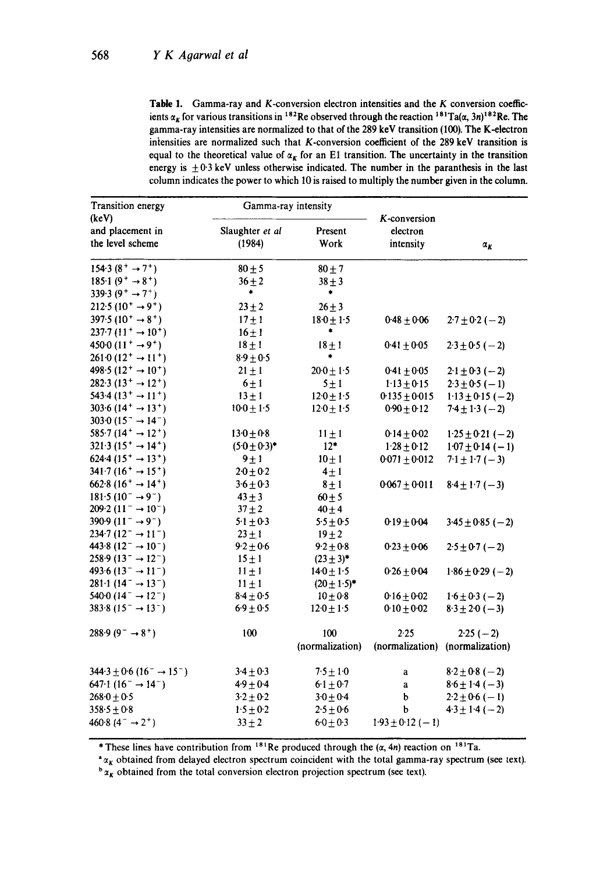Table 1. Gamma-ray and K-conversion electron intensities and the  $K$  conversion coefficients  $\alpha_K$  for various transitions in <sup>182</sup>Re observed through the reaction <sup>181</sup>Ta( $\alpha$ , 3n)<sup>182</sup>Re. The gamma-ray intensities are normalized to that of the 289 keV transition (100). The K-electron intensities are normalized such that K-conversion coefficient of the 289 keV transition is equal to the theoretical value of  $\alpha_K$  for an E1 transition. The uncertainty in the transition energy is  $\pm 0.3$  keV unless otherwise indicated. The number in the paranthesis in the last column indicates the power to which 10 is raised to multiply the number given in the column.

| Transition energy<br>(keV)                                       |                           | Gamma-ray intensity |                                       |                      |
|------------------------------------------------------------------|---------------------------|---------------------|---------------------------------------|----------------------|
| and placement in<br>the level scheme                             | Slaughter et al<br>(1984) | Present<br>Work     | K-conversion<br>electron<br>intensity | $\alpha_K$           |
| 154.3 $(8^+ \rightarrow 7^+)$                                    | $80 \pm 5$                | $80 \pm 7$          |                                       |                      |
| $185.1(9^+ \rightarrow 8^+)$                                     | $36 + 2$                  | $38 \pm 3$          |                                       |                      |
| 339.3 $(9^+ \rightarrow 7^+)$                                    | ۰                         | ۰                   |                                       |                      |
| 212.5 $(10^+ \rightarrow 9^+)$                                   | $23 + 2$                  | $26 + 3$            |                                       |                      |
| $397.5(10^+ \rightarrow 8^+)$                                    | $17 + 1$                  | $18.0 \pm 1.5$      | $0.48 + 0.06$                         | $2.7 \pm 0.2 (-2)$   |
| 237.7 $(11^+ \rightarrow 10^+)$                                  | $16 \pm 1$                | ٠                   |                                       |                      |
| 450 0 $(11^+ \rightarrow 9^+)$                                   | $18 \pm 1$                | $18 + 1$            | $0.41 \pm 0.05$                       | $2.3 \pm 0.5 (-2)$   |
| $261.0(12^+ \rightarrow 11^+)$                                   | $8.9 \pm 0.5$             | *                   |                                       |                      |
| 498.5 $(12^+ \rightarrow 10^+)$                                  | $21 \pm 1$                | $20.0 + 1.5$        | $0.41 \pm 0.05$                       | $2.1 \pm 0.3 (-2)$   |
| $282.3(13^+ \rightarrow 12^+)$                                   | $6 \pm 1$                 | $5 \pm 1$           | $1.13 \pm 0.15$                       | $2.3 \pm 0.5 (-1)$   |
| 543.4 $(13^+ \rightarrow 11^+)$                                  | $13 \pm 1$                | $12.0 + 1.5$        | $0.135 \pm 0.015$                     | $1.13 \pm 0.15 (-2)$ |
| 303.6 $(14^+ \rightarrow 13^+)$                                  | $10.0 \pm 1.5$            | $12.0 \pm 1.5$      | $0.90 \pm 0.12$                       | $7.4 \pm 1.3 (-2)$   |
| 303.0 $(15^{-} \rightarrow 14^{-})$                              |                           |                     |                                       |                      |
| 585.7 $(14^+ \rightarrow 12^+)$                                  | $13.0 \pm 0.8$            | $11 \pm 1$          | $0.14 \pm 0.02$                       | $1.25 \pm 0.21 (-2)$ |
| 321.3 $(15^+ \rightarrow 14^+)$                                  | $(5.0 \pm 0.3)^*$         | $12*$               | $1.28 \pm 0.12$                       | $1.07 \pm 0.14 (-1)$ |
| $624.4(15^{+} \rightarrow 13^{+})$                               | $9 \pm 1$                 | $10 \pm 1$          | $0.071 \pm 0.012$                     | $7.1 \pm 1.7 (-3)$   |
| 341.7 $(16^+ \rightarrow 15^+)$                                  | $20 + 0.2$                | $4\pm1$             |                                       |                      |
| $662.8(16^+ \rightarrow 14^+)$                                   | $3.6 \pm 0.3$             | $8 + 1$             | $0.067 + 0.011$                       | $8.4 \pm 1.7 (-3)$   |
| $181.5(10^- \rightarrow 9^-)$                                    | $43 + 3$                  | $60 \pm 5$          |                                       |                      |
| $209.2 (11^{-} \rightarrow 10^{-})$                              | $37 + 2$                  | $40 + 4$            |                                       |                      |
| 390.9 $(11^{-} \rightarrow 9^{-})$                               | $5.1 \pm 0.3$             | $5.5 \pm 0.5$       | $0.19 + 0.04$                         | $3.45 \pm 0.85 (-2)$ |
| 234.7 $(12^{-} \rightarrow 11^{-})$                              | $23 \pm 1$                | $19 + 2$            |                                       |                      |
| 443.8 $(12^{-} \rightarrow 10^{-})$                              | $9.2 \pm 0.6$             | $9.2 + 0.8$         | $0.23 \pm 0.06$                       | $2.5 \pm 0.7 (-2)$   |
| $258.9(13^{-} \rightarrow 12^{-})$                               | $15 \pm 1$                | $(23 \pm 3)^*$      |                                       |                      |
| 493.6 $(13^{-} \rightarrow 11^{-})$                              | $11 \pm 1$                | $14.0 \pm 1.5$      | $0.26 + 0.04$                         | $1.86 \pm 0.29 (-2)$ |
| $281 \cdot 1 (14^{-} \rightarrow 13^{-})$                        | $11 \pm 1$                | $(20 \pm 1.5)^*$    |                                       |                      |
| 540.0 $(14^{-} \rightarrow 12^{-})$                              | $8.4 \pm 0.5$             | $10 + 0.8$          | $0.16 \pm 0.02$                       | $1.6 \pm 0.3 (-2)$   |
| 383.8 $(15^{-} \rightarrow 13^{-})$                              | $6.9 \pm 0.5$             | $12.0 + 1.5$        | $0.10 + 0.02$                         | $8.3 \pm 2.0 (-3)$   |
| $288.9(9^{-} \rightarrow 8^{+})$                                 | 100                       | 100                 | 2.25                                  | $2.25(-2)$           |
|                                                                  |                           | (normalization)     | (normalization)                       | (normalization)      |
| $344.3 \pm 0.6$ (16 <sup>-</sup> $\rightarrow$ 15 <sup>-</sup> ) | $3.4 \pm 0.3$             | $7.5 \pm 1.0$       | a                                     | $8.2 \pm 0.8(-2)$    |
| $647.1(16^- \rightarrow 14^-)$                                   | $4.9 + 0.4$               | $6.1 + 0.7$         | a                                     | $8.6 \pm 1.4 (-3)$   |
| $268.0 \pm 0.5$                                                  | $3.2 \pm 0.2$             | $3.0 \pm 0.4$       | þ                                     | $2.2 \pm 0.6 (-1)$   |
| $358.5 + 0.8$                                                    | $1.5 + 0.2$               | $2.5 + 0.6$         | b                                     | $4.3 + 1.4 (-2)$     |
| 460.8 (4 <sup>-</sup> $\rightarrow$ 2 <sup>+</sup> )             | $33 \pm 2$                | $6 - 0 + 0 - 3$     | $1.93 \pm 0.12 (-1)$                  |                      |

\* These lines have contribution from <sup>181</sup>Re produced through the  $(\alpha, 4n)$  reaction on <sup>181</sup>Ta.

**"~K** obtained from delayed electron spectrum coincident with the total gamma-ray spectrum (see text).

 $b_{\alpha_K}$  obtained from the total conversion electron projection spectrum (see text).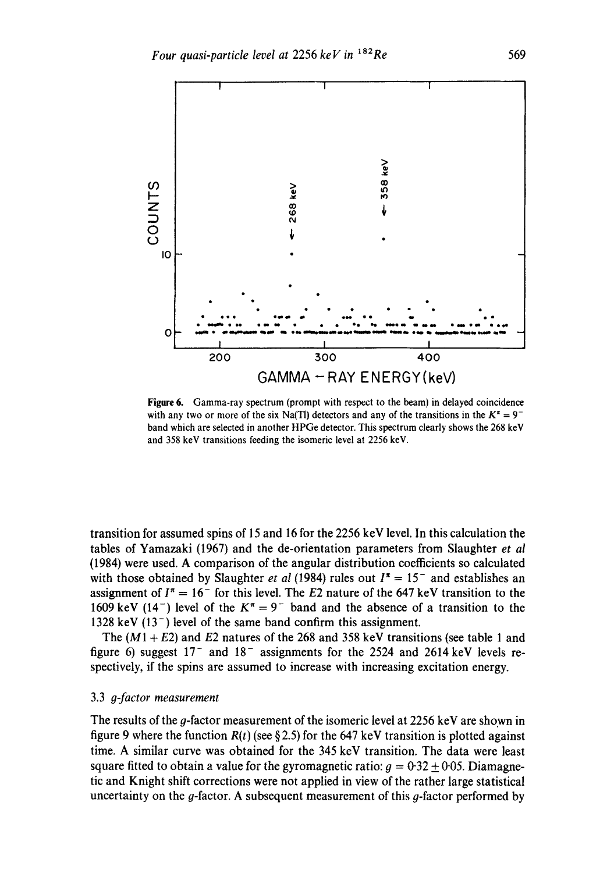

Figure 6. Gamma-ray spectrum (prompt with respect to the beam) in delayed coincidence with any two or more of the six Na(Tl) detectors and any of the transitions in the  $K^* = 9^$ band which are selected in another HPGe detector. This spectrum clearly shows the 268 keV and 358 keV transitions feeding the isomeric level at 2256 keV.

transition for assumed spins of 15 and 16 for the 2256 keV level. In this calculation the tables of Yamazaki (1967) and the de-orientation parameters from Slaughter *et al*  (1984) were used. A comparison of the angular distribution coefficients so calculated with those obtained by Slaughter *et al* (1984) rules out  $I^* = 15^-$  and establishes an assignment of  $I^* = 16^-$  for this level. The E2 nature of the 647 keV transition to the 1609 keV (14<sup>-</sup>) level of the  $K^* = 9^-$  band and the absence of a transition to the 1328 keV  $(13^{-})$  level of the same band confirm this assignment.

The  $(M1 + E2)$  and E2 natures of the 268 and 358 keV transitions (see table 1 and figure 6) suggest  $17<sup>-</sup>$  and  $18<sup>-</sup>$  assignments for the 2524 and 2614 keV levels respectively, if the spins are assumed to increase with increasing excitation energy.

#### 3.3 *g-factor measurement*

The results of the g-factor measurement of the isomeric level at 2256 keV are shown in figure 9 where the function  $R(t)$  (see § 2.5) for the 647 keV transition is plotted against time. A similar curve was obtained for the 345 keV transition. The data were least square fitted to obtain a value for the gyromagnetic ratio:  $g = 0.32 \pm 0.05$ . Diamagnetic and Knight shift corrections were not applied in view of the rather large statistical uncertainty on the  $q$ -factor. A subsequent measurement of this  $q$ -factor performed by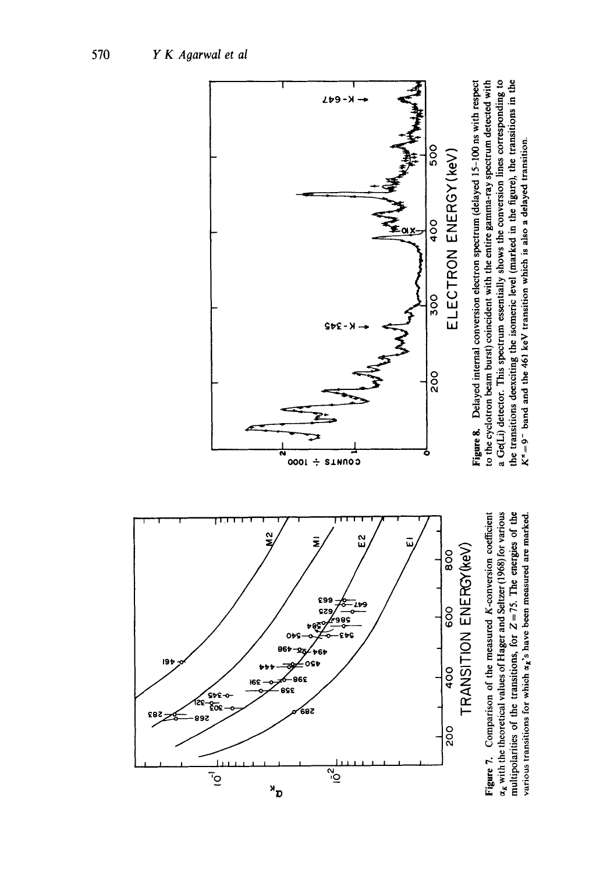

Figure 7. Comparison of the measured K-conversion coefficient  $\alpha_K$  with the theoretical values of Hager and Seltzer (1968) for various  $x_k$  with the theoretical values of Hager and Seltzer (1968) for various nultipolarities of the transitions, for  $Z = 75$ . The energies of the various transitions for which  $\alpha_k$ 's have been measured are marked. Figure 7. Comparison of the measured K-conversion coefficient multipolarities of the transitions, for  $Z = 75$ . The energies of the various transitions for which  $\alpha_k$ 's have been measured are marked



Figure g. Delayed internal conversion electron spectrum (delayed 15-100 ns with respect :o the cyclotron beam burst) coincident with the entire gamma-ray spectrum detected with a Ge(Li) detector. This spectrum essentially shows the conversion lines corresponding to t Ge(Li) detector. This spectrum essentially shows the conversion lines corresponding to the transitions deexciting the isomeric level (marked in the figure), the transitions in the :he transitions deexciting the isomeric level (marked in the figure), the transitions in the Figure 8. Delayed internal conversion electron spectrum (delayed 15-100 ns with respect to the cyclotron beam burst) coincident with the entire gamma-ray spectrum detected with  $K^{\pi}=9$  band and the 461 keV transition which is also a delayed transition.  $K^* = 9$  band and the 461 keV transition which is also a delayed transition.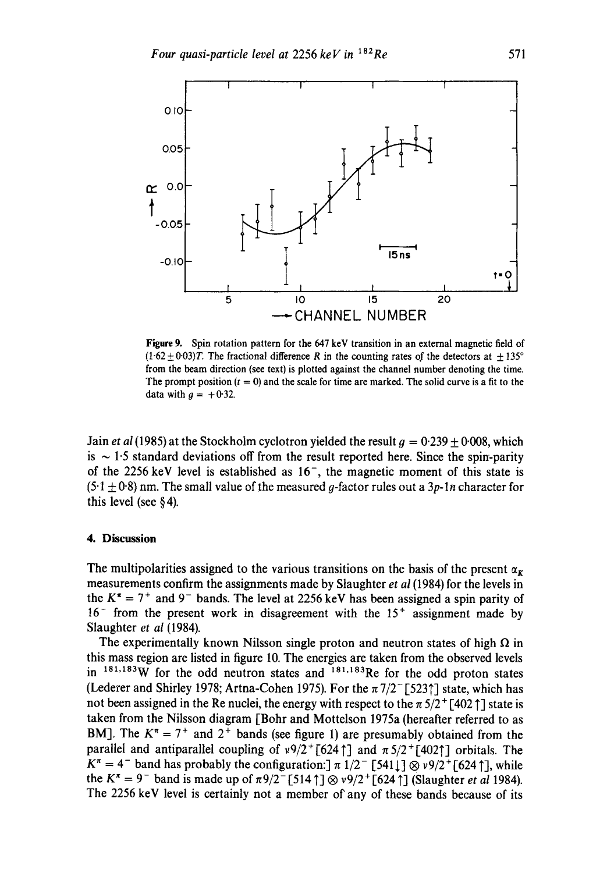

Figure 9. Spin rotation pattern for the 647 keV transition in an external magnetic field of  $(1.62 \pm 0.03)T$ . The fractional difference R in the counting rates of the detectors at  $\pm 135^\circ$ from the beam direction (see text) is plotted against the channel number denoting the time. The prompt position  $(t = 0)$  and the scale for time are marked. The solid curve is a fit to the data with  $g = +0.32$ .

Jain *et al* (1985) at the Stockholm cyclotron yielded the result  $q = 0.239 + 0.008$ , which is  $\sim$  1.5 standard deviations off from the result reported here. Since the spin-parity of the 2256 keV level is established as  $16^{-}$ , the magnetic moment of this state is  $(5.1 \pm 0.8)$  nm. The small value of the measured g-factor rules out a 3p-1n character for this level (see § 4).

### **4. Discussion**

The multipolarities assigned to the various transitions on the basis of the present  $\alpha_{\kappa}$ measurements confirm the assignments made by Slaughter *et al* (1984) for the levels in the  $K^* = 7^+$  and 9<sup>-</sup> bands. The level at 2256 keV has been assigned a spin parity of  $16^-$  from the present work in disagreement with the  $15^+$  assignment made by Slaughter *et al* (1984).

The experimentally known Nilsson single proton and neutron states of high  $\Omega$  in this mass region are listed in figure 10. The energies are taken from the observed levels in  $181,183W$  for the odd neutron states and  $181,183R$ e for the odd proton states (Lederer and Shirley 1978; Artna-Cohen 1975). For the  $\pi$  7/2<sup>-</sup> [5231] state, which has not been assigned in the Re nuclei, the energy with respect to the  $\pi$  5/2<sup>+</sup> [402  $\uparrow$ ] state is taken from the Nilsson diagram [Bohr and Mottelson 1975a (hereafter referred to as BM]. The  $K^{\pi} = 7^{+}$  and  $2^{+}$  bands (see figure 1) are presumably obtained from the parallel and antiparallel coupling of  $v9/2^+[624]$  and  $\pi 5/2^+[402]$  orbitals. The  $K^{\pi} = 4^{-}$  band has probably the configuration:]  $\pi$  1/2<sup>-</sup> [541 | ]  $\otimes v9/2^{+}$  [624 ], while the  $K^{\pi} = 9^{-}$  band is made up of  $\pi 9/2^{-}[514 \uparrow] \otimes v9/2^{+}[624 \uparrow]$  (Slaughter *et al* 1984). The 2256 keV level is certainly not a member of any of these bands because of its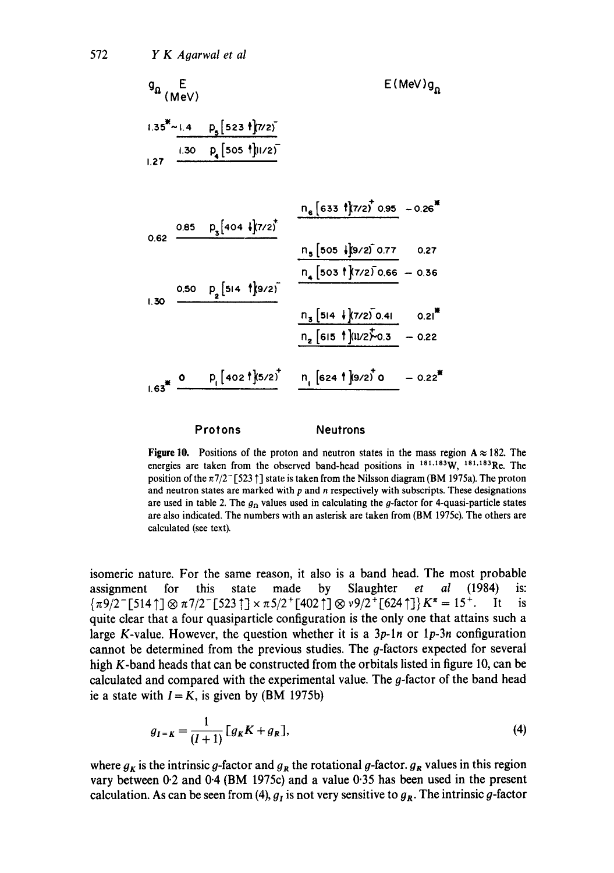$$
q_{n} \t E(MeV)
$$
  
\n1.35<sup>\*</sup> - 1.4  $p_{s}$  [523  $\frac{1}{2}$ ]/22)  
\n1.27  $\frac{1.30 \t p_{s}[505 \t \frac{1}{2}]/22}{\frac{1.30 \t p_{s}[505 \t \frac{1}{2}]/225}{\frac{1.30 \t p_{s}[404 \t \frac{1}{2}]/225}{\frac{1.30 \t p_{s}[404 \t \frac{1}{2}]/225}{\frac{1.30 \t p_{s}[505 \t \frac{1}{2}]/2250.95 - 0.26^{*}}{1.30}}}$   
\n1.30  $\frac{0.50 \t p_{s}[514 \t \frac{1}{2}]/225}{\frac{1.30 \t p_{s}[514 \t \frac{1}{2}]/225}{\frac{1.30 \t p_{s}[514 \t \frac{1}{2}]/2250.41}{\frac{1.30 \t p_{s}[514 \t \frac{1}{2}]/2250.41}{\frac{1.30 \t p_{s}[514 \t \frac{1}{2}]/2250.41}{\frac{1.30 \t p_{s}[514 \t \frac{1}{2}]/2250.41}{\frac{1.30 \t p_{s}[514 \t \frac{1}{2}]/2250.41}{\frac{1.30 \t p_{s}[514 \t \frac{1}{2}]/2250.41}{\frac{1.30 \t p_{s}[514 \t \frac{1}{2}]/2250.41}{\frac{1.30 \t p_{s}[514 \t \frac{1}{2}]/2250.41}{\frac{1.30 \t p_{s}[514 \t \frac{1}{2}]/2250.41}{\frac{1.30 \t p_{s}[514 \t \frac{1}{2}]/2250.41}{\frac{1.30 \t p_{s}[514 \t \frac{1}{2}]/2250.41}{\frac{1.30 \t p_{s}[514 \t \frac{1}{2}]/2250.41}{\frac{1.30 \t p_{s}[514 \t \frac{1}{2}]/2250.41}{\frac{1.30 \t p_{s$ 

#### Protons Neutrons

**Figure 10.** Positions of the proton and neutron states in the mass region  $A \approx 182$ . The energies are taken from the observed band-head positions in  $^{181,183}$ W,  $^{181,183}$ Re. The position of the  $\pi$ 7/2<sup>-</sup> [523  $\dagger$ ] state is taken from the Nilsson diagram (BM 1975a). The proton and neutron states are marked with  $p$  and  $n$  respectively with subscripts. These designations are used in table 2. The  $g<sub>0</sub>$  values used in calculating the g-factor for 4-quasi-particle states are also indicated. The numbers with an asterisk are taken from (BM 1975c). The others are calculated (see text).

isomeric nature. For the same reason, it also is a band head. The most probable assignment for this state made by Slaughter *et al* (1984) is:  ${\pi9/2^-}$ [514 ]  $\otimes \pi7/2^-$ [523 ]  $\times \pi5/2^+$ [402 ]  $\otimes v9/2^+$ [624 ]  $K^{\pi} = 15^+$ . It is quite clear that a four quasiparticle configuration is the only one that attains such a large K-value. However, the question whether it is a *3p-ln* or *lp-3n* configuration cannot be determined from the previous studies. The g-factors expected for several high K-band heads that can be constructed from the orbitals listed in figure 10, can be calculated and compared with the experimental value. The g-factor of the band head ie a state with  $I = K$ , is given by (BM 1975b)

$$
g_{I=K} = \frac{1}{(I+1)} [g_K K + g_R],
$$
\n(4)

where  $g_K$  is the intrinsic g-factor and  $g_R$  the rotational g-factor,  $g_R$  values in this region vary between 0.2 and 0.4 (BM 1975c) and a value 0.35 has been used in the present calculation. As can be seen from (4),  $g_I$  is not very sensitive to  $g_R$ . The intrinsic g-factor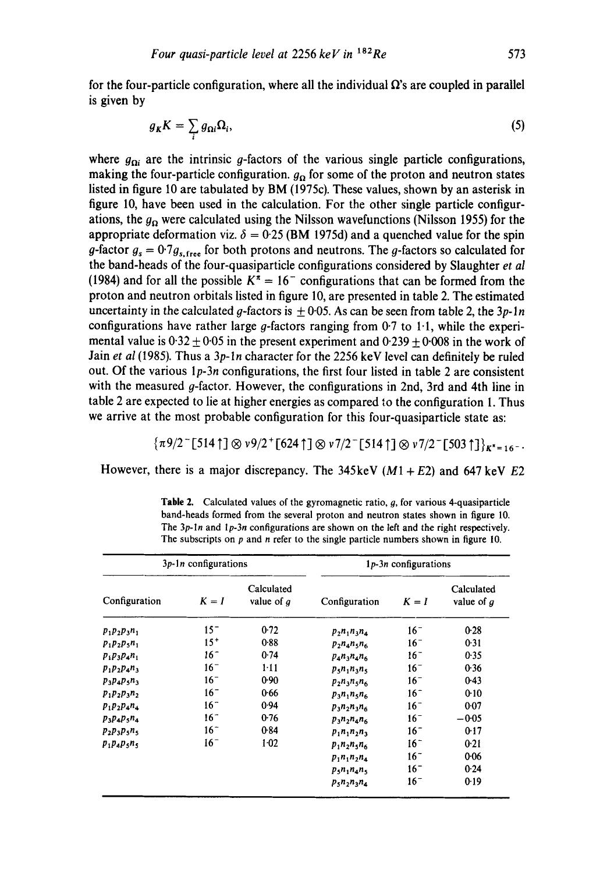for the four-particle configuration, where all the individual  $\Omega$ 's are coupled in parallel **is given by** 

$$
g_K K = \sum_i g_{\Omega i} \Omega_i, \tag{5}
$$

where  $g_{0i}$  are the intrinsic g-factors of the various single particle configurations, making the four-particle configuration.  $g_{\Omega}$  for some of the proton and neutron states **listed in figure 10 are tabulated by BM (1975c). These values, shown by an asterisk in figure 10, have been used in the calculation. For the other single particle configur**ations, the  $g_0$  were calculated using the Nilsson wavefunctions (Nilsson 1955) for the appropriate deformation viz.  $\delta = 0.25$  (BM 1975d) and a quenched value for the spin g-factor  $g_s = 0.7g_{s,\text{free}}$  for both protons and neutrons. The g-factors so calculated for **the band-heads of the four-quasiparticle configurations considered by Slaughter** *et al*  (1984) and for all the possible  $K^{\pi} = 16^{-}$  configurations that can be formed from the **proton and neutron orbitals listed in figure 10, are presented in table 2. The estimated**  uncertainty in the calculated g-factors is  $\pm 0.05$ . As can be seen from table 2, the  $3p-1n$ **configurations have rather large g-factors ranging from 0.7 to 1.1, while the experi**mental value is  $0.32 \pm 0.05$  in the present experiment and  $0.239 \pm 0.008$  in the work of **Jain** *et al* **(1985). Thus a** *3p-ln* **character for the 2256 keV level can definitely be ruled out. Of the various** *lp-3n* **configurations, the first four listed in table 2 are consistent with the measured y-factor. However, the configurations in 2nd, 3rd and 4th line in table 2 are expected to lie at higher energies as compared 'o the configuration 1. Thus we arrive at the most probable configuration for this four-quasiparticle state as:** 

 ${\pi9/2$  [514 ]  $\otimes v9/2$  [624 ]  $\otimes v7/2$  [514 ]  $\otimes v7/2$  [503 ]  $\}_{K^* = 16}$ .

However, there is a major discrepancy. The  $345 \text{keV}$  ( $M1 + E2$ ) and  $647 \text{ keV}$   $E2$ 

| $3p-1n$ configurations |          |                            | $1p-3n$ configurations |          |                            |
|------------------------|----------|----------------------------|------------------------|----------|----------------------------|
| Configuration          | $K = I$  | Calculated<br>value of $q$ | Configuration          | $K = I$  | Calculated<br>value of $q$ |
| $p_1 p_2 p_3 n_1$      | $15^{-}$ | 0.72                       | $p_2 n_1 n_3 n_4$      | $16^{-}$ | 0.28                       |
| $p_1p_2p_3n_1$         | $15+$    | 0.88                       | $p_2 n_4 n_5 n_6$      | $16-$    | 0.31                       |
| $p_1p_3p_4n_1$         | $16 -$   | 0.74                       | $p_4 n_3 n_4 n_6$      | $16 -$   | 0.35                       |
| $p_1 p_2 p_4 n_3$      | $16^{-}$ | $1-11$                     | $p_5n_1n_2n_5$         | $16-$    | 0.36                       |
| $p_3p_4p_5n_3$         | $16^{-}$ | 0.90                       | $p_2n_3n_5n_6$         | $16^{-}$ | 0.43                       |
| $p_1p_2p_3n_2$         | $16 -$   | 0.66                       | $p_3n_1n_5n_6$         | $16-$    | 0.10                       |
| $p_1 p_2 p_4 n_4$      | $16-$    | 0.94                       | $p_3 n_2 n_3 n_6$      | $16 -$   | 0.07                       |
| $p_3p_4p_5n_4$         | $16-$    | 0.76                       | $p_3n_2n_4n_6$         | $16-$    | $-0.05$                    |
| $p_2p_3p_5n_5$         | $16^{-}$ | 0.84                       | $p_1 n_1 n_2 n_3$      | $16-$    | 0.17                       |
| $p_1p_4p_5n_5$         | $16-$    | $1-02$                     | $p_1 n_2 n_5 n_6$      | $16-$    | 0.21                       |
|                        |          |                            | $p_1 n_1 n_2 n_4$      | $16-$    | $0 - 06$                   |
|                        |          |                            | $p_5n_1n_4n_5$         | $16-$    | 0.24                       |
|                        |          |                            | $p_5 n_2 n_3 n_4$      | $16^{-}$ | 0.19                       |

**Table 2.** Calculated values of the gyromagnetic ratio, g, for various 4-quasiparticle **band-heads formed from the several proton and neutron states shown in figure** 10. **The** *3p-ln* **and** *lp-3n* **configurations are shown on the left and the right respectively. The subscripts on p and n refer to the single particle numbers shown in figure** 10.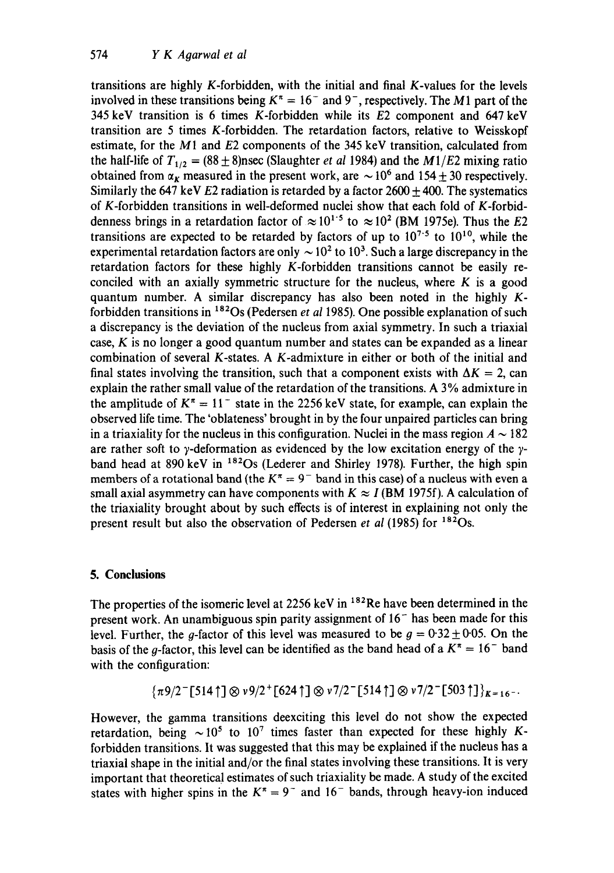transitions are highly K-forbidden, with the initial and final K-values for the levels involved in these transitions being  $K^* = 16^-$  and 9<sup>-</sup>, respectively. The M1 part of the 345 keV transition is 6 times K-forbidden while its E2 component and 647 keV transition are 5 times K-forbidden. The retardation factors, relative to Weisskopf estimate, for the  $M1$  and  $E2$  components of the 345 keV transition, calculated from the half-life of  $T_{1/2} = (88 \pm 8)$ nsec (Slaughter *et al* 1984) and the *M1/E2* mixing ratio obtained from  $\alpha_{\kappa}$  measured in the present work, are  $\sim 10^6$  and 154  $\pm$  30 respectively. Similarly the 647 keV E2 radiation is retarded by a factor  $2600 \pm 400$ . The systematics of K-forbidden transitions in well-deformed nuclei show that each fold of K-forbiddenness brings in a retardation factor of  $\approx 10^{1.5}$  to  $\approx 10^2$  (BM 1975e). Thus the E2 transitions are expected to be retarded by factors of up to  $10^{7.5}$  to  $10^{10}$ , while the experimental retardation factors are only  $\sim 10^2$  to 10<sup>3</sup>. Such a large discrepancy in the retardation factors for these highly K-forbidden transitions cannot be easily reconciled with an axially symmetric structure for the nucleus, where  $K$  is a good quantum number. A similar discrepancy has also been noted in the highly  $K$ forbidden transitions in <sup>182</sup>Os (Pedersen *et al* 1985). One possible explanation of such a discrepancy is the deviation of the nucleus from axial symmetry. In such a triaxial case, K is no longer a good quantum number and states can be expanded as a linear combination of several K-states. A K-admixture in either or both of the initial and final states involving the transition, such that a component exists with  $\Delta K = 2$ , can explain the rather small value of the retardation of the transitions. A 3 % admixture in the amplitude of  $K^{\pi} = 11^{-}$  state in the 2256 keV state, for example, can explain the observed life time. The 'oblateness' brought in by the four unpaired particles can bring in a triaxiality for the nucleus in this configuration. Nuclei in the mass region  $A \sim 182$ are rather soft to  $\gamma$ -deformation as evidenced by the low excitation energy of the  $\gamma$ band head at 890 keV in  $182$ Os (Lederer and Shirley 1978). Further, the high spin members of a rotational band (the  $K^{\pi} = 9^{-}$  band in this case) of a nucleus with even a small axial asymmetry can have components with  $K \approx I$  (BM 1975f). A calculation of the triaxiality brought about by such effects is of interest in explaining not only the present result but also the observation of Pedersen *et al* (1985) for 182Os.

## **5. Conclusions**

The properties of the isomeric level at  $2256 \text{ keV}$  in  $182 \text{Re}$  have been determined in the present work. An unambiguous spin parity assignment of  $16<sup>-</sup>$  has been made for this level. Further, the g-factor of this level was measured to be  $g = 0.32 \pm 0.05$ . On the basis of the g-factor, this level can be identified as the band head of a  $K^* = 16^-$  band with the configuration:

$$
\{\pi9/2^-[514\uparrow]\otimes\nu9/2^+[624\uparrow]\otimes\nu7/2^-[514\uparrow]\otimes\nu7/2^-[503\uparrow]\}_{K=16^-}.
$$

However, the gamma transitions deexciting this level do not show the expected retardation, being  $\sim 10^5$  to  $10^7$  times faster than expected for these highly Kforbidden transitions. It was suggested that this may be explained if the nucleus has a triaxial shape in the initial and/or the final states involving these transitions. It is very important that theoretical estimates of such triaxiality be made. A study of the excited states with higher spins in the  $K^{\pi} = 9^{-}$  and 16<sup>-</sup> bands, through heavy-ion induced